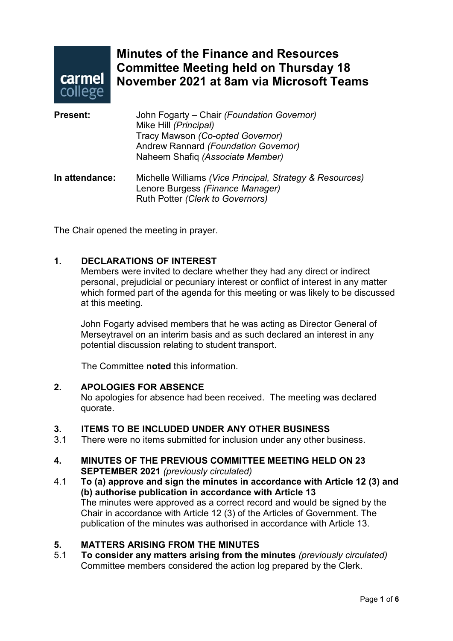

# **Minutes of the Finance and Resources Committee Meeting held on Thursday 18 November 2021 at 8am via Microsoft Teams**

| <b>Present:</b> | John Fogarty – Chair (Foundation Governor)<br>Mike Hill (Principal)<br>Tracy Mawson (Co-opted Governor)<br>Andrew Rannard (Foundation Governor)<br>Naheem Shafiq (Associate Member) |
|-----------------|-------------------------------------------------------------------------------------------------------------------------------------------------------------------------------------|
| In attendance:  | Michelle Williams (Vice Principal, Strategy & Resources)<br>Lenore Burgess (Finance Manager)<br>Ruth Potter (Clerk to Governors)                                                    |

The Chair opened the meeting in prayer.

#### **1. DECLARATIONS OF INTEREST**

Members were invited to declare whether they had any direct or indirect personal, prejudicial or pecuniary interest or conflict of interest in any matter which formed part of the agenda for this meeting or was likely to be discussed at this meeting.

John Fogarty advised members that he was acting as Director General of Merseytravel on an interim basis and as such declared an interest in any potential discussion relating to student transport.

The Committee **noted** this information.

#### **2. APOLOGIES FOR ABSENCE**

No apologies for absence had been received. The meeting was declared quorate.

# **3. ITEMS TO BE INCLUDED UNDER ANY OTHER BUSINESS**

There were no items submitted for inclusion under any other business.

#### **4. MINUTES OF THE PREVIOUS COMMITTEE MEETING HELD ON 23 SEPTEMBER 2021** *(previously circulated)*

4.1 **To (a) approve and sign the minutes in accordance with Article 12 (3) and (b) authorise publication in accordance with Article 13** The minutes were approved as a correct record and would be signed by the Chair in accordance with Article 12 (3) of the Articles of Government. The publication of the minutes was authorised in accordance with Article 13.

# **5. MATTERS ARISING FROM THE MINUTES**

5.1 **To consider any matters arising from the minutes** *(previously circulated)* Committee members considered the action log prepared by the Clerk.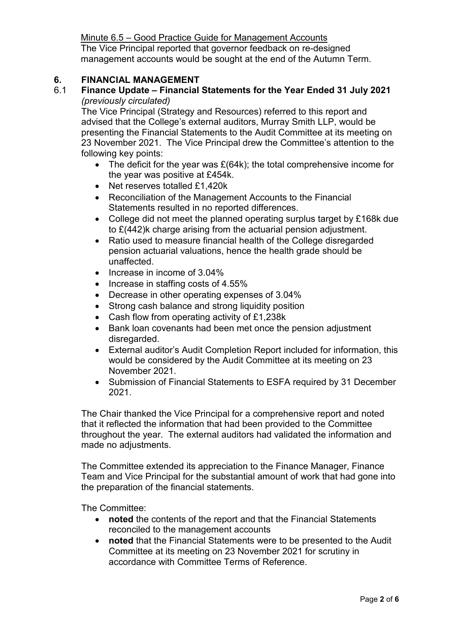Minute 6.5 – Good Practice Guide for Management Accounts The Vice Principal reported that governor feedback on re-designed management accounts would be sought at the end of the Autumn Term.

### **6. FINANCIAL MANAGEMENT**

# 6.1 **Finance Update – Financial Statements for the Year Ended 31 July 2021** *(previously circulated)*

The Vice Principal (Strategy and Resources) referred to this report and advised that the College's external auditors, Murray Smith LLP, would be presenting the Financial Statements to the Audit Committee at its meeting on 23 November 2021. The Vice Principal drew the Committee's attention to the following key points:

- The deficit for the year was £(64k); the total comprehensive income for the year was positive at £454k.
- Net reserves totalled £1,420k
- Reconciliation of the Management Accounts to the Financial Statements resulted in no reported differences.
- College did not meet the planned operating surplus target by £168k due to £(442)k charge arising from the actuarial pension adjustment.
- Ratio used to measure financial health of the College disregarded pension actuarial valuations, hence the health grade should be unaffected.
- Increase in income of 3.04%
- Increase in staffing costs of 4.55%
- Decrease in other operating expenses of 3.04%
- Strong cash balance and strong liquidity position
- Cash flow from operating activity of £1,238k
- Bank loan covenants had been met once the pension adjustment disregarded.
- External auditor's Audit Completion Report included for information, this would be considered by the Audit Committee at its meeting on 23 November 2021.
- Submission of Financial Statements to ESFA required by 31 December 2021.

The Chair thanked the Vice Principal for a comprehensive report and noted that it reflected the information that had been provided to the Committee throughout the year. The external auditors had validated the information and made no adjustments.

The Committee extended its appreciation to the Finance Manager, Finance Team and Vice Principal for the substantial amount of work that had gone into the preparation of the financial statements.

The Committee:

- **noted** the contents of the report and that the Financial Statements reconciled to the management accounts
- **noted** that the Financial Statements were to be presented to the Audit Committee at its meeting on 23 November 2021 for scrutiny in accordance with Committee Terms of Reference.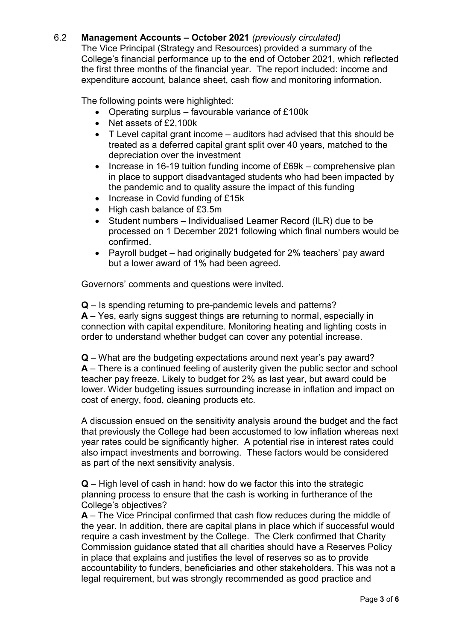# 6.2 **Management Accounts – October 2021** *(previously circulated)*

The Vice Principal (Strategy and Resources) provided a summary of the College's financial performance up to the end of October 2021, which reflected the first three months of the financial year. The report included: income and expenditure account, balance sheet, cash flow and monitoring information.

The following points were highlighted:

- Operating surplus favourable variance of £100k
- Net assets of £2,100k
- T Level capital grant income auditors had advised that this should be treated as a deferred capital grant split over 40 years, matched to the depreciation over the investment
- Increase in 16-19 tuition funding income of £69k comprehensive plan in place to support disadvantaged students who had been impacted by the pandemic and to quality assure the impact of this funding
- Increase in Covid funding of £15k
- High cash balance of £3.5m
- Student numbers Individualised Learner Record (ILR) due to be processed on 1 December 2021 following which final numbers would be confirmed.
- Payroll budget had originally budgeted for 2% teachers' pay award but a lower award of 1% had been agreed.

Governors' comments and questions were invited.

**Q** – Is spending returning to pre-pandemic levels and patterns? **A** – Yes, early signs suggest things are returning to normal, especially in connection with capital expenditure. Monitoring heating and lighting costs in order to understand whether budget can cover any potential increase.

**Q** – What are the budgeting expectations around next year's pay award? **A** – There is a continued feeling of austerity given the public sector and school teacher pay freeze. Likely to budget for 2% as last year, but award could be lower. Wider budgeting issues surrounding increase in inflation and impact on cost of energy, food, cleaning products etc.

A discussion ensued on the sensitivity analysis around the budget and the fact that previously the College had been accustomed to low inflation whereas next year rates could be significantly higher. A potential rise in interest rates could also impact investments and borrowing. These factors would be considered as part of the next sensitivity analysis.

**Q** – High level of cash in hand: how do we factor this into the strategic planning process to ensure that the cash is working in furtherance of the College's objectives?

**A** – The Vice Principal confirmed that cash flow reduces during the middle of the year. In addition, there are capital plans in place which if successful would require a cash investment by the College. The Clerk confirmed that Charity Commission guidance stated that all charities should have a Reserves Policy in place that explains and justifies the level of reserves so as to provide accountability to funders, beneficiaries and other stakeholders. This was not a legal requirement, but was strongly recommended as good practice and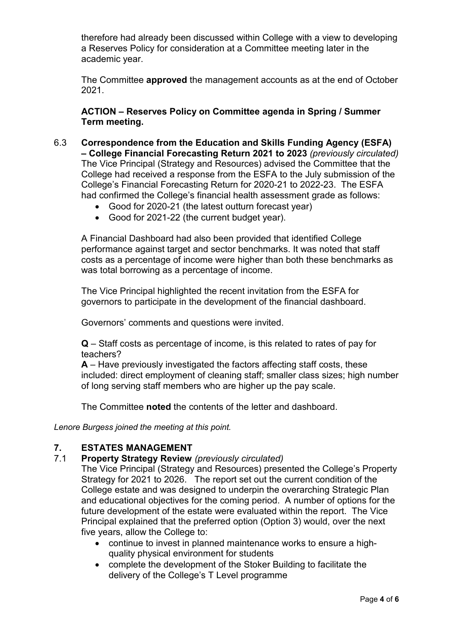therefore had already been discussed within College with a view to developing a Reserves Policy for consideration at a Committee meeting later in the academic year.

The Committee **approved** the management accounts as at the end of October 2021.

#### **ACTION – Reserves Policy on Committee agenda in Spring / Summer Term meeting.**

- 6.3 **Correspondence from the Education and Skills Funding Agency (ESFA) – College Financial Forecasting Return 2021 to 2023** *(previously circulated)* The Vice Principal (Strategy and Resources) advised the Committee that the College had received a response from the ESFA to the July submission of the College's Financial Forecasting Return for 2020-21 to 2022-23. The ESFA had confirmed the College's financial health assessment grade as follows:
	- Good for 2020-21 (the latest outturn forecast year)
	- Good for 2021-22 (the current budget year).

A Financial Dashboard had also been provided that identified College performance against target and sector benchmarks. It was noted that staff costs as a percentage of income were higher than both these benchmarks as was total borrowing as a percentage of income.

The Vice Principal highlighted the recent invitation from the ESFA for governors to participate in the development of the financial dashboard.

Governors' comments and questions were invited.

**Q** – Staff costs as percentage of income, is this related to rates of pay for teachers?

**A** – Have previously investigated the factors affecting staff costs, these included: direct employment of cleaning staff; smaller class sizes; high number of long serving staff members who are higher up the pay scale.

The Committee **noted** the contents of the letter and dashboard.

*Lenore Burgess joined the meeting at this point.*

#### **7. ESTATES MANAGEMENT**

#### 7.1 **Property Strategy Review** *(previously circulated)*

The Vice Principal (Strategy and Resources) presented the College's Property Strategy for 2021 to 2026. The report set out the current condition of the College estate and was designed to underpin the overarching Strategic Plan and educational objectives for the coming period. A number of options for the future development of the estate were evaluated within the report. The Vice Principal explained that the preferred option (Option 3) would, over the next five years, allow the College to:

- continue to invest in planned maintenance works to ensure a highquality physical environment for students
- complete the development of the Stoker Building to facilitate the delivery of the College's T Level programme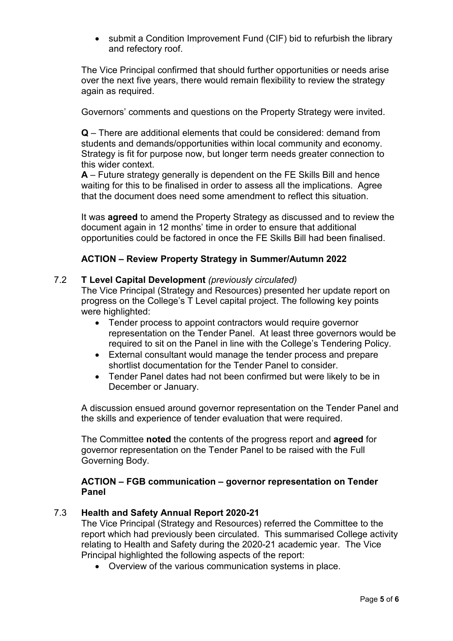• submit a Condition Improvement Fund (CIF) bid to refurbish the library and refectory roof.

The Vice Principal confirmed that should further opportunities or needs arise over the next five years, there would remain flexibility to review the strategy again as required.

Governors' comments and questions on the Property Strategy were invited.

**Q** – There are additional elements that could be considered: demand from students and demands/opportunities within local community and economy. Strategy is fit for purpose now, but longer term needs greater connection to this wider context.

**A** – Future strategy generally is dependent on the FE Skills Bill and hence waiting for this to be finalised in order to assess all the implications. Agree that the document does need some amendment to reflect this situation.

It was **agreed** to amend the Property Strategy as discussed and to review the document again in 12 months' time in order to ensure that additional opportunities could be factored in once the FE Skills Bill had been finalised.

## **ACTION – Review Property Strategy in Summer/Autumn 2022**

#### 7.2 **T Level Capital Development** *(previously circulated)*

The Vice Principal (Strategy and Resources) presented her update report on progress on the College's T Level capital project. The following key points were highlighted:

- Tender process to appoint contractors would require governor representation on the Tender Panel. At least three governors would be required to sit on the Panel in line with the College's Tendering Policy.
- External consultant would manage the tender process and prepare shortlist documentation for the Tender Panel to consider.
- Tender Panel dates had not been confirmed but were likely to be in December or January.

A discussion ensued around governor representation on the Tender Panel and the skills and experience of tender evaluation that were required.

The Committee **noted** the contents of the progress report and **agreed** for governor representation on the Tender Panel to be raised with the Full Governing Body.

#### **ACTION – FGB communication – governor representation on Tender Panel**

### 7.3 **Health and Safety Annual Report 2020-21**

The Vice Principal (Strategy and Resources) referred the Committee to the report which had previously been circulated. This summarised College activity relating to Health and Safety during the 2020-21 academic year. The Vice Principal highlighted the following aspects of the report:

• Overview of the various communication systems in place.